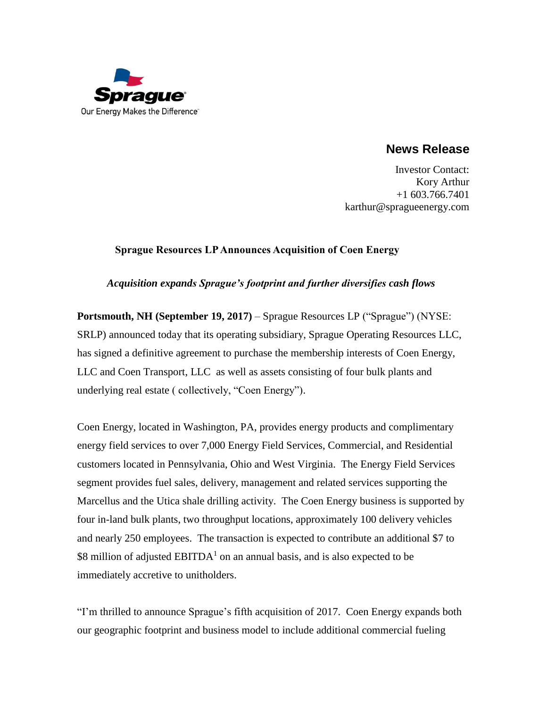

# **News Release**

Investor Contact: Kory Arthur +1 603.766.7401 karthur@spragueenergy.com

## **Sprague Resources LP Announces Acquisition of Coen Energy**

## *Acquisition expands Sprague's footprint and further diversifies cash flows*

**Portsmouth, NH (September 19, 2017)** – Sprague Resources LP ("Sprague") (NYSE: SRLP) announced today that its operating subsidiary, Sprague Operating Resources LLC, has signed a definitive agreement to purchase the membership interests of Coen Energy, LLC and Coen Transport, LLC as well as assets consisting of four bulk plants and underlying real estate ( collectively, "Coen Energy").

Coen Energy, located in Washington, PA, provides energy products and complimentary energy field services to over 7,000 Energy Field Services, Commercial, and Residential customers located in Pennsylvania, Ohio and West Virginia. The Energy Field Services segment provides fuel sales, delivery, management and related services supporting the Marcellus and the Utica shale drilling activity. The Coen Energy business is supported by four in-land bulk plants, two throughput locations, approximately 100 delivery vehicles and nearly 250 employees. The transaction is expected to contribute an additional \$7 to \$8 million of adjusted  $EBITDA<sup>1</sup>$  on an annual basis, and is also expected to be immediately accretive to unitholders.

"I'm thrilled to announce Sprague's fifth acquisition of 2017. Coen Energy expands both our geographic footprint and business model to include additional commercial fueling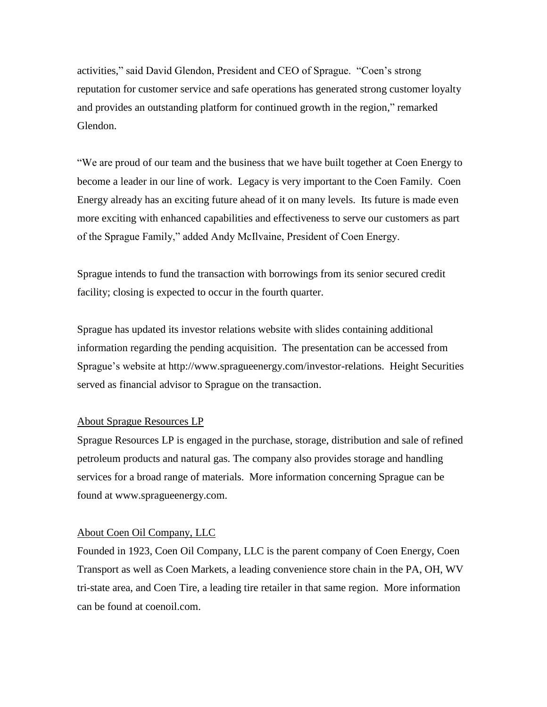activities," said David Glendon, President and CEO of Sprague. "Coen's strong reputation for customer service and safe operations has generated strong customer loyalty and provides an outstanding platform for continued growth in the region," remarked Glendon.

"We are proud of our team and the business that we have built together at Coen Energy to become a leader in our line of work. Legacy is very important to the Coen Family. Coen Energy already has an exciting future ahead of it on many levels. Its future is made even more exciting with enhanced capabilities and effectiveness to serve our customers as part of the Sprague Family," added Andy McIlvaine, President of Coen Energy.

Sprague intends to fund the transaction with borrowings from its senior secured credit facility; closing is expected to occur in the fourth quarter.

Sprague has updated its investor relations website with slides containing additional information regarding the pending acquisition. The presentation can be accessed from Sprague's website at [http://www.spragueenergy.com/investor-relations.](http://www.spragueenergy.com/investor-relations) Height Securities served as financial advisor to Sprague on the transaction.

### About Sprague Resources LP

Sprague Resources LP is engaged in the purchase, storage, distribution and sale of refined petroleum products and natural gas. The company also provides storage and handling services for a broad range of materials. More information concerning Sprague can be found at [www.spragueenergy.com.](http://www.spragueenergy.com/)

### About Coen Oil Company, LLC

Founded in 1923, Coen Oil Company, LLC is the parent company of Coen Energy, Coen Transport as well as Coen Markets, a leading convenience store chain in the PA, OH, WV tri-state area, and Coen Tire, a leading tire retailer in that same region. More information can be found at coenoil.com.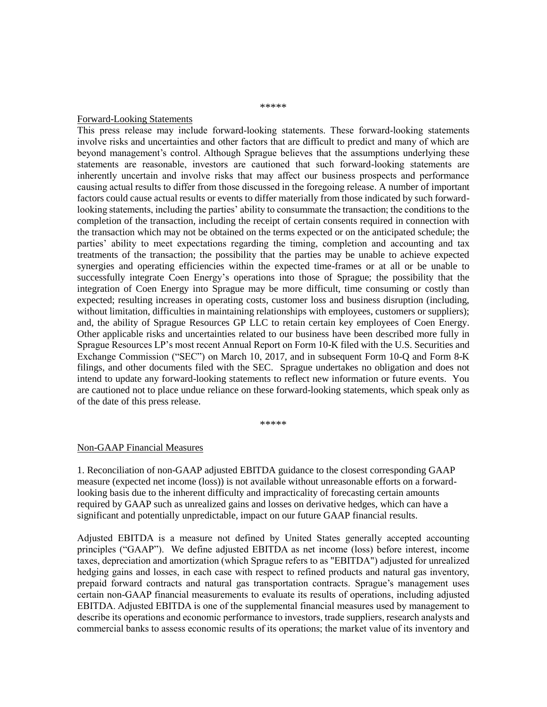#### \*\*\*\*\*

#### Forward-Looking Statements

This press release may include forward-looking statements. These forward-looking statements involve risks and uncertainties and other factors that are difficult to predict and many of which are beyond management's control. Although Sprague believes that the assumptions underlying these statements are reasonable, investors are cautioned that such forward-looking statements are inherently uncertain and involve risks that may affect our business prospects and performance causing actual results to differ from those discussed in the foregoing release. A number of important factors could cause actual results or events to differ materially from those indicated by such forwardlooking statements, including the parties' ability to consummate the transaction; the conditions to the completion of the transaction, including the receipt of certain consents required in connection with the transaction which may not be obtained on the terms expected or on the anticipated schedule; the parties' ability to meet expectations regarding the timing, completion and accounting and tax treatments of the transaction; the possibility that the parties may be unable to achieve expected synergies and operating efficiencies within the expected time-frames or at all or be unable to successfully integrate Coen Energy's operations into those of Sprague; the possibility that the integration of Coen Energy into Sprague may be more difficult, time consuming or costly than expected; resulting increases in operating costs, customer loss and business disruption (including, without limitation, difficulties in maintaining relationships with employees, customers or suppliers); and, the ability of Sprague Resources GP LLC to retain certain key employees of Coen Energy. Other applicable risks and uncertainties related to our business have been described more fully in Sprague Resources LP's most recent Annual Report on Form 10-K filed with the U.S. Securities and Exchange Commission ("SEC") on March 10, 2017, and in subsequent Form 10-Q and Form 8-K filings, and other documents filed with the SEC. Sprague undertakes no obligation and does not intend to update any forward-looking statements to reflect new information or future events. You are cautioned not to place undue reliance on these forward-looking statements, which speak only as of the date of this press release.

\*\*\*\*\*

#### Non-GAAP Financial Measures

1. Reconciliation of non-GAAP adjusted EBITDA guidance to the closest corresponding GAAP measure (expected net income (loss)) is not available without unreasonable efforts on a forwardlooking basis due to the inherent difficulty and impracticality of forecasting certain amounts required by GAAP such as unrealized gains and losses on derivative hedges, which can have a significant and potentially unpredictable, impact on our future GAAP financial results.

Adjusted EBITDA is a measure not defined by United States generally accepted accounting principles ("GAAP"). We define adjusted EBITDA as net income (loss) before interest, income taxes, depreciation and amortization (which Sprague refers to as "EBITDA") adjusted for unrealized hedging gains and losses, in each case with respect to refined products and natural gas inventory, prepaid forward contracts and natural gas transportation contracts. Sprague's management uses certain non-GAAP financial measurements to evaluate its results of operations, including adjusted EBITDA. Adjusted EBITDA is one of the supplemental financial measures used by management to describe its operations and economic performance to investors, trade suppliers, research analysts and commercial banks to assess economic results of its operations; the market value of its inventory and